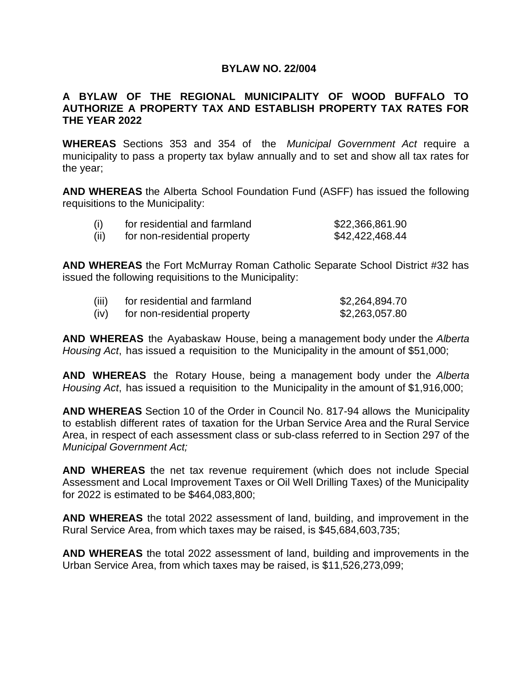# **BYLAW NO. 22/004**

# **A BYLAW OF THE REGIONAL MUNICIPALITY OF WOOD BUFFALO TO AUTHORIZE A PROPERTY TAX AND ESTABLISH PROPERTY TAX RATES FOR THE YEAR 2022**

**WHEREAS** Sections 353 and 354 of the *Municipal Government Act* require a municipality to pass a property tax bylaw annually and to set and show all tax rates for the year;

**AND WHEREAS** the Alberta School Foundation Fund (ASFF) has issued the following requisitions to the Municipality:

| (i)  | for residential and farmland | \$22,366,861.90 |
|------|------------------------------|-----------------|
| (ii) | for non-residential property | \$42,422,468.44 |

**AND WHEREAS** the Fort McMurray Roman Catholic Separate School District #32 has issued the following requisitions to the Municipality:

| (iii) | for residential and farmland | \$2,264,894.70 |
|-------|------------------------------|----------------|
| (iv)  | for non-residential property | \$2,263,057.80 |

**AND WHEREAS** the Ayabaskaw House, being a management body under the *Alberta Housing Act*, has issued a requisition to the Municipality in the amount of \$51,000;

**AND WHEREAS** the Rotary House, being a management body under the *Alberta Housing Act*, has issued a requisition to the Municipality in the amount of \$1,916,000;

**AND WHEREAS** Section 10 of the Order in Council No. 817-94 allows the Municipality to establish different rates of taxation for the Urban Service Area and the Rural Service Area, in respect of each assessment class or sub-class referred to in Section 297 of the *Municipal Government Act;*

**AND WHEREAS** the net tax revenue requirement (which does not include Special Assessment and Local Improvement Taxes or Oil Well Drilling Taxes) of the Municipality for 2022 is estimated to be \$464,083,800;

**AND WHEREAS** the total 2022 assessment of land, building, and improvement in the Rural Service Area, from which taxes may be raised, is \$45,684,603,735;

**AND WHEREAS** the total 2022 assessment of land, building and improvements in the Urban Service Area, from which taxes may be raised, is \$11,526,273,099;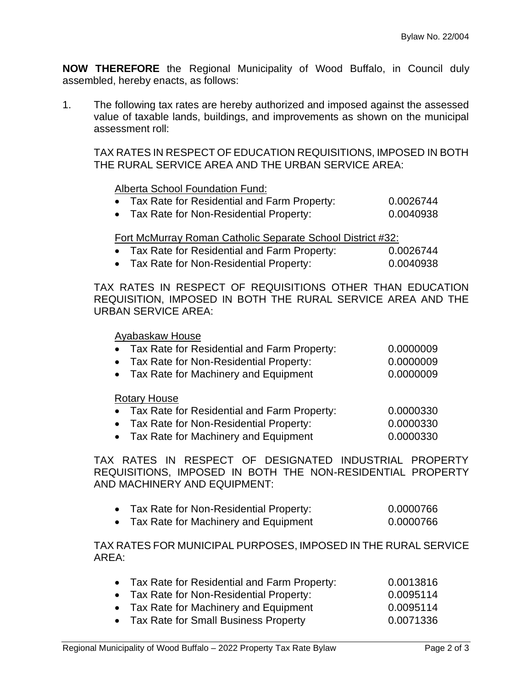**NOW THEREFORE** the Regional Municipality of Wood Buffalo, in Council duly assembled, hereby enacts, as follows:

1. The following tax rates are hereby authorized and imposed against the assessed value of taxable lands, buildings, and improvements as shown on the municipal assessment roll:

TAX RATES IN RESPECT OF EDUCATION REQUISITIONS, IMPOSED IN BOTH THE RURAL SERVICE AREA AND THE URBAN SERVICE AREA:

# Alberta School Foundation Fund:

- Tax Rate for Residential and Farm Property: 0.0026744
- Tax Rate for Non-Residential Property: 0.0040938

# Fort McMurray Roman Catholic Separate School District #32:

- Tax Rate for Residential and Farm Property: 0.0026744
- Tax Rate for Non-Residential Property: 0.0040938

TAX RATES IN RESPECT OF REQUISITIONS OTHER THAN EDUCATION REQUISITION, IMPOSED IN BOTH THE RURAL SERVICE AREA AND THE URBAN SERVICE AREA:

### Ayabaskaw House

| • Tax Rate for Residential and Farm Property: | 0.0000009 |
|-----------------------------------------------|-----------|
| • Tax Rate for Non-Residential Property:      | 0.0000009 |
| • Tax Rate for Machinery and Equipment        | 0.0000009 |

#### Rotary House

- Tax Rate for Residential and Farm Property: 0.0000330 • Tax Rate for Non-Residential Property: 0.0000330
- Tax Rate for Machinery and Equipment 0.0000330

TAX RATES IN RESPECT OF DESIGNATED INDUSTRIAL PROPERTY REQUISITIONS, IMPOSED IN BOTH THE NON-RESIDENTIAL PROPERTY AND MACHINERY AND EQUIPMENT:

|  | Tax Rate for Non-Residential Property: | 0.0000766 |
|--|----------------------------------------|-----------|
|--|----------------------------------------|-----------|

• Tax Rate for Machinery and Equipment 0.0000766

TAX RATES FOR MUNICIPAL PURPOSES, IMPOSED IN THE RURAL SERVICE AREA:

| • Tax Rate for Residential and Farm Property: | 0.0013816 |
|-----------------------------------------------|-----------|
| • Tax Rate for Non-Residential Property:      | 0.0095114 |
| • Tax Rate for Machinery and Equipment        | 0.0095114 |
| • Tax Rate for Small Business Property        | 0.0071336 |